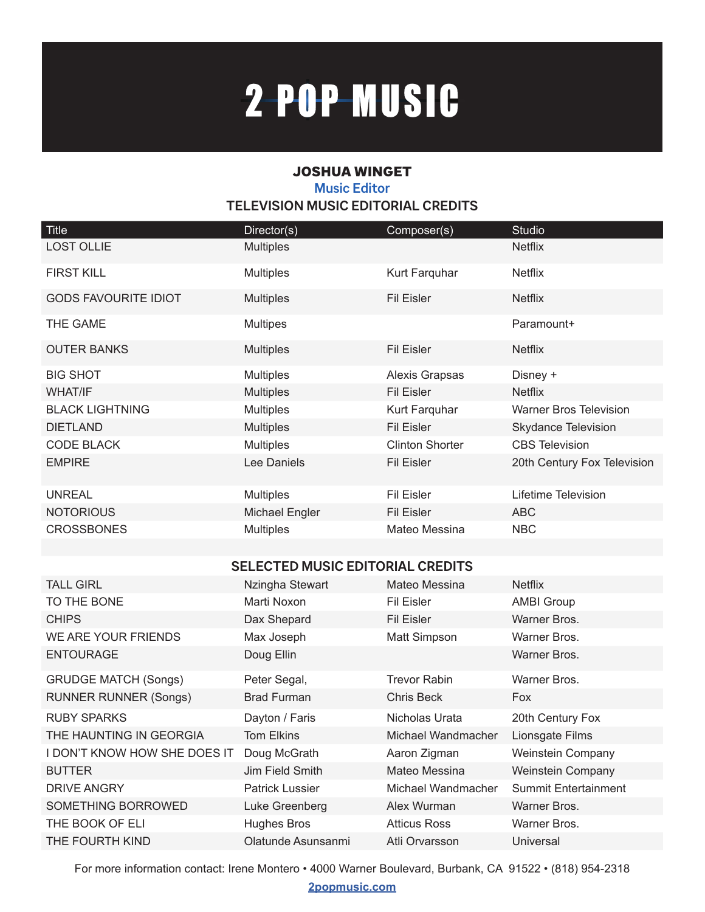# 2-POP-MUSIC

### JOSHUA WINGET **Music Editor TELEVISION MUSIC EDITORIAL CREDITS**

| <b>Title</b>                | Director(s)      | Composer(s)            | <b>Studio</b>                 |
|-----------------------------|------------------|------------------------|-------------------------------|
| <b>LOST OLLIE</b>           | <b>Multiples</b> |                        | <b>Netflix</b>                |
| <b>FIRST KILL</b>           | <b>Multiples</b> | Kurt Farquhar          | <b>Netflix</b>                |
| <b>GODS FAVOURITE IDIOT</b> | <b>Multiples</b> | <b>Fil Eisler</b>      | <b>Netflix</b>                |
| THE GAME                    | <b>Multipes</b>  |                        | Paramount+                    |
| <b>OUTER BANKS</b>          | <b>Multiples</b> | <b>Fil Eisler</b>      | <b>Netflix</b>                |
| <b>BIG SHOT</b>             | <b>Multiples</b> | <b>Alexis Grapsas</b>  | Disney +                      |
| <b>WHAT/IF</b>              | <b>Multiples</b> | <b>Fil Eisler</b>      | <b>Netflix</b>                |
| <b>BLACK LIGHTNING</b>      | <b>Multiples</b> | Kurt Farquhar          | <b>Warner Bros Television</b> |
| <b>DIETLAND</b>             | <b>Multiples</b> | <b>Fil Eisler</b>      | Skydance Television           |
| <b>CODE BLACK</b>           | <b>Multiples</b> | <b>Clinton Shorter</b> | <b>CBS Television</b>         |
| <b>EMPIRE</b>               | Lee Daniels      | <b>Fil Eisler</b>      | 20th Century Fox Television   |
| <b>UNREAL</b>               | <b>Multiples</b> | <b>Fil Eisler</b>      | Lifetime Television           |
| <b>NOTORIOUS</b>            | Michael Engler   | <b>Fil Eisler</b>      | <b>ABC</b>                    |
| <b>CROSSBONES</b>           | <b>Multiples</b> | Mateo Messina          | <b>NBC</b>                    |

#### **SELECTED MUSIC EDITORIAL CREDITS**

| <b>TALL GIRL</b>             | Nzingha Stewart        | Mateo Messina       | <b>Netflix</b>           |
|------------------------------|------------------------|---------------------|--------------------------|
| TO THE BONE                  | Marti Noxon            | Fil Eisler          | <b>AMBI Group</b>        |
| <b>CHIPS</b>                 | Dax Shepard            | Fil Eisler          | Warner Bros.             |
| WE ARE YOUR FRIENDS          | Max Joseph             | Matt Simpson        | Warner Bros.             |
| <b>ENTOURAGE</b>             | Doug Ellin             |                     | Warner Bros.             |
| <b>GRUDGE MATCH (Songs)</b>  | Peter Segal,           | <b>Trevor Rabin</b> | Warner Bros.             |
| <b>RUNNER RUNNER (Songs)</b> | <b>Brad Furman</b>     | <b>Chris Beck</b>   | <b>Fox</b>               |
| <b>RUBY SPARKS</b>           | Dayton / Faris         | Nicholas Urata      | 20th Century Fox         |
| THE HAUNTING IN GEORGIA      | <b>Tom Elkins</b>      | Michael Wandmacher  | Lionsgate Films          |
| I DON'T KNOW HOW SHE DOES IT | Doug McGrath           | Aaron Zigman        | Weinstein Company        |
| <b>BUTTER</b>                | Jim Field Smith        | Mateo Messina       | <b>Weinstein Company</b> |
| <b>DRIVE ANGRY</b>           | <b>Patrick Lussier</b> | Michael Wandmacher  | Summit Entertainment     |
| SOMETHING BORROWED           | Luke Greenberg         | Alex Wurman         | Warner Bros.             |
| THE BOOK OF ELI              | <b>Hughes Bros</b>     | <b>Atticus Ross</b> | Warner Bros.             |
| THE FOURTH KIND              | Olatunde Asunsanmi     | Atli Orvarsson      | Universal                |
|                              |                        |                     |                          |

For more information contact: Irene Montero • 4000 Warner Boulevard, Burbank, CA 91522 • (818) 954-2318

**2popmusic.com**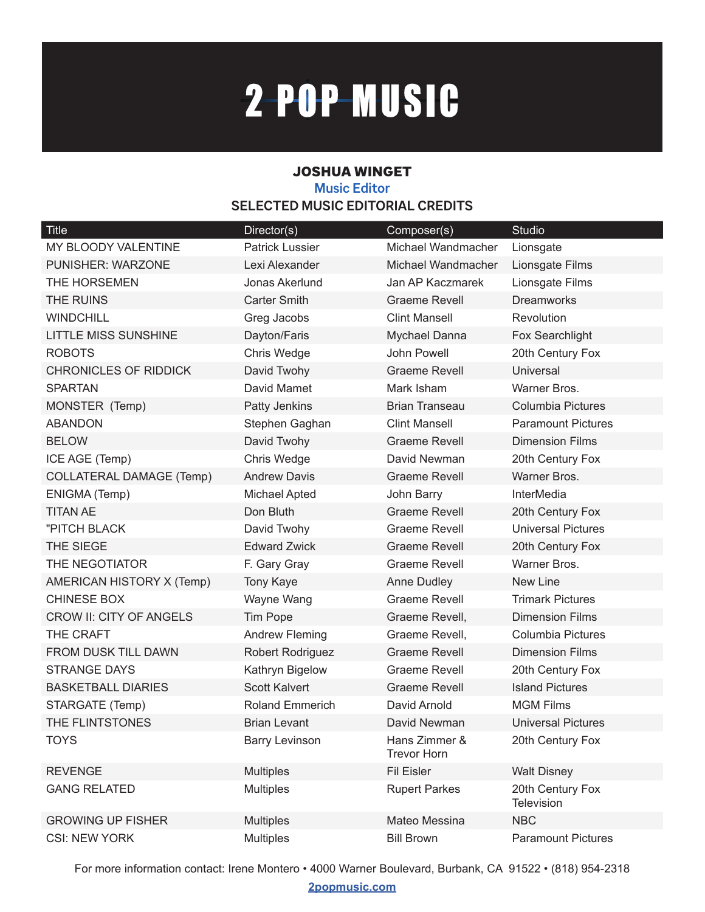# 2-POP-MUSIC

### JOSHUA WINGET **Music Editor SELECTED MUSIC EDITORIAL CREDITS**

| <b>Title</b>                    | Director(s)            | Composer(s)                         | <b>Studio</b>                  |
|---------------------------------|------------------------|-------------------------------------|--------------------------------|
| <b>MY BLOODY VALENTINE</b>      | <b>Patrick Lussier</b> | Michael Wandmacher                  | Lionsgate                      |
| PUNISHER: WARZONE               | Lexi Alexander         | Michael Wandmacher                  | Lionsgate Films                |
| THE HORSEMEN                    | Jonas Akerlund         | Jan AP Kaczmarek                    | Lionsgate Films                |
| <b>THE RUINS</b>                | <b>Carter Smith</b>    | <b>Graeme Revell</b>                | <b>Dreamworks</b>              |
| <b>WINDCHILL</b>                | Greg Jacobs            | <b>Clint Mansell</b>                | Revolution                     |
| <b>LITTLE MISS SUNSHINE</b>     | Dayton/Faris           | Mychael Danna                       | Fox Searchlight                |
| <b>ROBOTS</b>                   | Chris Wedge            | John Powell                         | 20th Century Fox               |
| <b>CHRONICLES OF RIDDICK</b>    | David Twohy            | <b>Graeme Revell</b>                | <b>Universal</b>               |
| <b>SPARTAN</b>                  | David Mamet            | Mark Isham                          | Warner Bros.                   |
| MONSTER (Temp)                  | <b>Patty Jenkins</b>   | <b>Brian Transeau</b>               | <b>Columbia Pictures</b>       |
| <b>ABANDON</b>                  | Stephen Gaghan         | <b>Clint Mansell</b>                | <b>Paramount Pictures</b>      |
| <b>BELOW</b>                    | David Twohy            | <b>Graeme Revell</b>                | <b>Dimension Films</b>         |
| ICE AGE (Temp)                  | Chris Wedge            | David Newman                        | 20th Century Fox               |
| <b>COLLATERAL DAMAGE (Temp)</b> | <b>Andrew Davis</b>    | Graeme Revell                       | Warner Bros.                   |
| ENIGMA (Temp)                   | Michael Apted          | John Barry                          | <b>InterMedia</b>              |
| <b>TITAN AE</b>                 | Don Bluth              | <b>Graeme Revell</b>                | 20th Century Fox               |
| "PITCH BLACK                    | David Twohy            | <b>Graeme Revell</b>                | <b>Universal Pictures</b>      |
| THE SIEGE                       | <b>Edward Zwick</b>    | <b>Graeme Revell</b>                | 20th Century Fox               |
| THE NEGOTIATOR                  | F. Gary Gray           | <b>Graeme Revell</b>                | Warner Bros.                   |
| AMERICAN HISTORY X (Temp)       | <b>Tony Kaye</b>       | Anne Dudley                         | New Line                       |
| <b>CHINESE BOX</b>              | Wayne Wang             | <b>Graeme Revell</b>                | <b>Trimark Pictures</b>        |
| <b>CROW II: CITY OF ANGELS</b>  | Tim Pope               | Graeme Revell,                      | <b>Dimension Films</b>         |
| THE CRAFT                       | <b>Andrew Fleming</b>  | Graeme Revell,                      | <b>Columbia Pictures</b>       |
| FROM DUSK TILL DAWN             | Robert Rodriguez       | <b>Graeme Revell</b>                | <b>Dimension Films</b>         |
| <b>STRANGE DAYS</b>             | Kathryn Bigelow        | <b>Graeme Revell</b>                | 20th Century Fox               |
| <b>BASKETBALL DIARIES</b>       | <b>Scott Kalvert</b>   | <b>Graeme Revell</b>                | <b>Island Pictures</b>         |
| STARGATE (Temp)                 | <b>Roland Emmerich</b> | David Arnold                        | <b>MGM Films</b>               |
| THE FLINTSTONES                 | Brian Levant           | David Newman                        | <b>Universal Pictures</b>      |
| <b>TOYS</b>                     | <b>Barry Levinson</b>  | Hans Zimmer &<br><b>Trevor Horn</b> | 20th Century Fox               |
| <b>REVENGE</b>                  | <b>Multiples</b>       | <b>Fil Eisler</b>                   | <b>Walt Disney</b>             |
| <b>GANG RELATED</b>             | <b>Multiples</b>       | <b>Rupert Parkes</b>                | 20th Century Fox<br>Television |
| <b>GROWING UP FISHER</b>        | <b>Multiples</b>       | Mateo Messina                       | <b>NBC</b>                     |
| <b>CSI: NEW YORK</b>            | <b>Multiples</b>       | <b>Bill Brown</b>                   | <b>Paramount Pictures</b>      |

For more information contact: Irene Montero • 4000 Warner Boulevard, Burbank, CA 91522 • (818) 954-2318

**2popmusic.com**